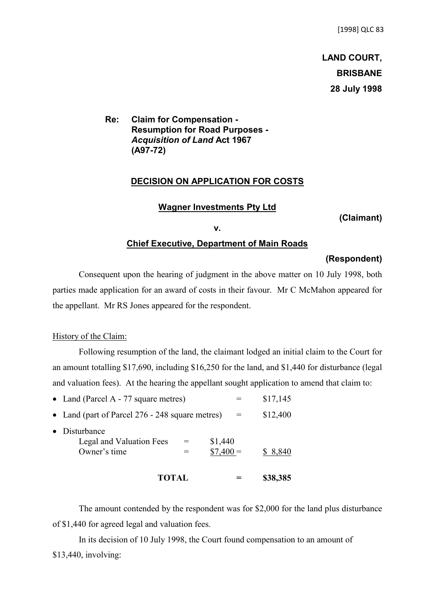# **LAND COURT, BRISBANE 28 July 1998**

**Re: Claim for Compensation - Resumption for Road Purposes -** *Acquisition of Land* **Act 1967 (A97-72)**

## **DECISION ON APPLICATION FOR COSTS**

#### **Wagner Investments Pty Ltd**

**(Claimant)**

**v.**

#### **Chief Executive, Department of Main Roads**

#### **(Respondent)**

Consequent upon the hearing of judgment in the above matter on 10 July 1998, both parties made application for an award of costs in their favour. Mr C McMahon appeared for the appellant. Mr RS Jones appeared for the respondent.

# History of the Claim:

Following resumption of the land, the claimant lodged an initial claim to the Court for an amount totalling \$17,690, including \$16,250 for the land, and \$1,440 for disturbance (legal and valuation fees). At the hearing the appellant sought application to amend that claim to:

| <b>TOTAL</b>                                                                            |     | \$38,385 |
|-----------------------------------------------------------------------------------------|-----|----------|
| Disturbance<br>Legal and Valuation Fees<br>\$1,440<br>$=$<br>$$7,400 =$<br>Owner's time |     | \$ 8,840 |
| • Land (part of Parcel 276 - 248 square metres)                                         | $=$ | \$12,400 |
| • Land (Parcel A - $77$ square metres)                                                  |     | \$17,145 |

The amount contended by the respondent was for \$2,000 for the land plus disturbance of \$1,440 for agreed legal and valuation fees.

In its decision of 10 July 1998, the Court found compensation to an amount of \$13,440, involving: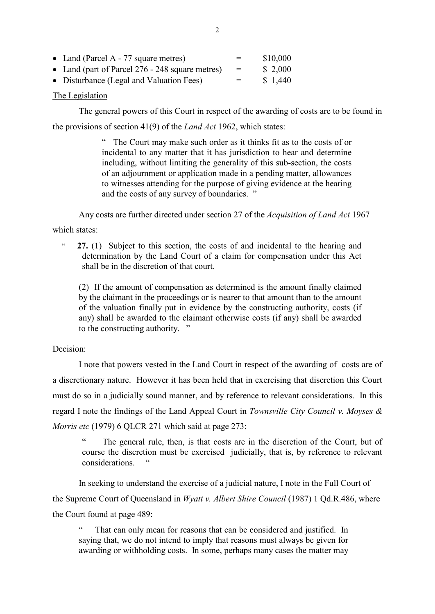| • Land (Parcel A - 77 square metres)            | $=$ | \$10,000 |
|-------------------------------------------------|-----|----------|
| • Land (part of Parcel 276 - 248 square metres) | $=$ | \$2,000  |
| • Disturbance (Legal and Valuation Fees)        | $=$ | \$1,440  |

## The Legislation

The general powers of this Court in respect of the awarding of costs are to be found in

the provisions of section 41(9) of the *Land Act* 1962, which states:

" The Court may make such order as it thinks fit as to the costs of or incidental to any matter that it has jurisdiction to hear and determine including, without limiting the generality of this sub-section, the costs of an adjournment or application made in a pending matter, allowances to witnesses attending for the purpose of giving evidence at the hearing and the costs of any survey of boundaries. "

Any costs are further directed under section 27 of the *Acquisition of Land Act* 1967

which states:

 " **27.** (1) Subject to this section, the costs of and incidental to the hearing and determination by the Land Court of a claim for compensation under this Act shall be in the discretion of that court.

(2) If the amount of compensation as determined is the amount finally claimed by the claimant in the proceedings or is nearer to that amount than to the amount of the valuation finally put in evidence by the constructing authority, costs (if any) shall be awarded to the claimant otherwise costs (if any) shall be awarded to the constructing authority. "

# Decision:

I note that powers vested in the Land Court in respect of the awarding of costs are of a discretionary nature. However it has been held that in exercising that discretion this Court must do so in a judicially sound manner, and by reference to relevant considerations. In this regard I note the findings of the Land Appeal Court in *Townsville City Council v. Moyses & Morris etc* (1979) 6 QLCR 271 which said at page 273:

The general rule, then, is that costs are in the discretion of the Court, but of course the discretion must be exercised judicially, that is, by reference to relevant considerations.

In seeking to understand the exercise of a judicial nature, I note in the Full Court of the Supreme Court of Queensland in *Wyatt v. Albert Shire Council* (1987) 1 Qd.R.486, where the Court found at page 489:

That can only mean for reasons that can be considered and justified. In saying that, we do not intend to imply that reasons must always be given for awarding or withholding costs. In some, perhaps many cases the matter may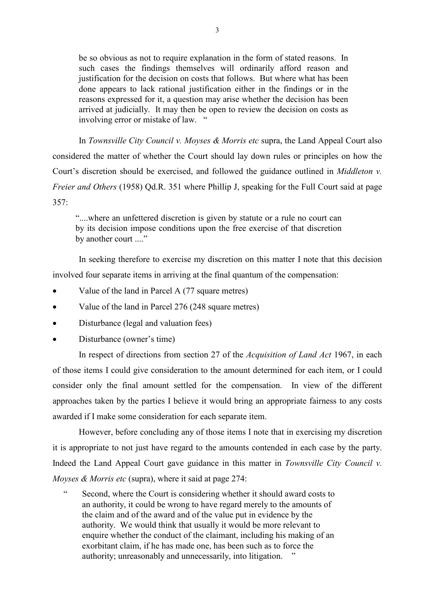be so obvious as not to require explanation in the form of stated reasons. In such cases the findings themselves will ordinarily afford reason and justification for the decision on costs that follows. But where what has been done appears to lack rational justification either in the findings or in the reasons expressed for it, a question may arise whether the decision has been arrived at judicially. It may then be open to review the decision on costs as involving error or mistake of law. "

In *Townsville City Council v. Moyses & Morris etc* supra, the Land Appeal Court also considered the matter of whether the Court should lay down rules or principles on how the Court's discretion should be exercised, and followed the guidance outlined in *Middleton v. Freier and Others* (1958) Qd.R. 351 where Phillip J, speaking for the Full Court said at page 357:

"....where an unfettered discretion is given by statute or a rule no court can by its decision impose conditions upon the free exercise of that discretion by another court ...."

In seeking therefore to exercise my discretion on this matter I note that this decision involved four separate items in arriving at the final quantum of the compensation:

- Value of the land in Parcel A (77 square metres)
- Value of the land in Parcel 276 (248 square metres)
- Disturbance (legal and valuation fees)
- Disturbance (owner's time)

In respect of directions from section 27 of the *Acquisition of Land Act* 1967, in each of those items I could give consideration to the amount determined for each item, or I could consider only the final amount settled for the compensation. In view of the different approaches taken by the parties I believe it would bring an appropriate fairness to any costs awarded if I make some consideration for each separate item.

However, before concluding any of those items I note that in exercising my discretion it is appropriate to not just have regard to the amounts contended in each case by the party. Indeed the Land Appeal Court gave guidance in this matter in *Townsville City Council v. Moyses & Morris etc* (supra), where it said at page 274:

 " Second, where the Court is considering whether it should award costs to an authority, it could be wrong to have regard merely to the amounts of the claim and of the award and of the value put in evidence by the authority. We would think that usually it would be more relevant to enquire whether the conduct of the claimant, including his making of an exorbitant claim, if he has made one, has been such as to force the authority; unreasonably and unnecessarily, into litigation. "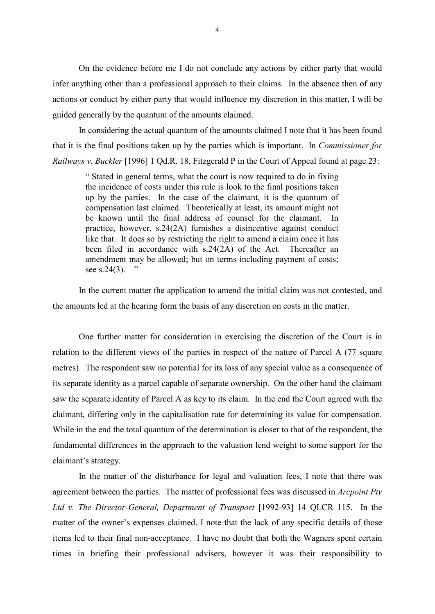On the evidence before me I do not conclude any actions by either party that would infer anything other than a professional approach to their claims. In the absence then of any actions or conduct by either party that would influence my discretion in this matter, I will be guided generally by the quantum of the amounts claimed.

In considering the actual quantum of the amounts claimed I note that it has been found that it is the final positions taken up by the parties which is important. In *Commissioner for Railways v. Buckler* [1996] 1 Qd.R. 18, Fitzgerald P in the Court of Appeal found at page 23:

" Stated in general terms, what the court is now required to do in fixing the incidence of costs under this rule is look to the final positions taken up by the parties. In the case of the claimant, it is the quantum of compensation last claimed. Theoretically at least, its amount might not be known until the final address of counsel for the claimant. In practice, however, s.24(2A) furnishes a disincentive against conduct like that. It does so by restricting the right to amend a claim once it has been filed in accordance with s.24(2A) of the Act. Thereafter an amendment may be allowed; but on terms including payment of costs; see s.24 $(3)$ .

In the current matter the application to amend the initial claim was not contested, and the amounts led at the hearing form the basis of any discretion on costs in the matter.

One further matter for consideration in exercising the discretion of the Court is in relation to the different views of the parties in respect of the nature of Parcel A (77 square metres). The respondent saw no potential for its loss of any special value as a consequence of its separate identity as a parcel capable of separate ownership. On the other hand the claimant saw the separate identity of Parcel A as key to its claim. In the end the Court agreed with the claimant, differing only in the capitalisation rate for determining its value for compensation. While in the end the total quantum of the determination is closer to that of the respondent, the fundamental differences in the approach to the valuation lend weight to some support for the claimant's strategy.

In the matter of the disturbance for legal and valuation fees, I note that there was agreement between the parties. The matter of professional fees was discussed in *Arcpoint Pty Ltd v. The Director-General, Department of Transport* [1992-93] 14 QLCR 115. In the matter of the owner's expenses claimed, I note that the lack of any specific details of those items led to their final non-acceptance. I have no doubt that both the Wagners spent certain times in briefing their professional advisers, however it was their responsibility to